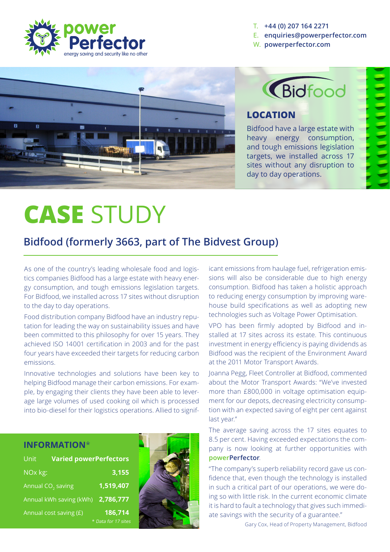

Manager said: "Not only does **powerPerfector** T. **+44 (0) 207 164 2271**

- <u>E. enquiries@powerperfector.com</u><br>W. nowerperfector.com
- W. **powerperfector.com**





## to day-to-day operations." **LOCATION**

 $\frac{1}{2}$  bidrood have a large estate with **powerfollows** increase in the solution of the solution of the solution of the solution of the solution of the solution of the solution of the solution of the solution of the solution of the solution of the solution of the sites without any disruption to  $\begin{array}{ccc} \hline \end{array}$  $\sigma$  to day operations. Bidfood have a large estate with targets, we installed across 17 day to day operations.

but also in a secure electrical supply.

# **CASE** STUDY

# Bidfood (formerly 3663, part of The Bidvest Group)

As one of the country's leading wholesale food and logistics companies Bidfood has a large estate with heavy energy consumption, and tough emissions legislation targets. For Bidfood, we installed across 17 sites without disruption to the day to day operations.

**www.powerperfector.com** for further information. The further information  $\mathbf{r}$ 

Food distribution company Bidfood have an industry repu- technologies such as Voltage Power Optimisation. tation for leading the way on sustainability issues and have been committed to this philosophy for over 15 years. They achieved ISO 14001 certification in 2003 and for the past four years have exceeded their targets for reducing carbon emissions.

Innovative technologies and solutions have been key to helping Bidfood manage their carbon emissions. For example, by engaging their clients they have been able to leverage large volumes of used cooking oil which is processed into bio-diesel for their logistics operations. Allied to signif-

#### **INFORMATION**\*

| Unit                          | <b>Varied powerPerfectors</b> |                     |
|-------------------------------|-------------------------------|---------------------|
| $NOX$ kg:                     |                               | 3,155               |
| Annual CO <sub>2</sub> saving |                               | 1,519,407           |
| Annual kWh saving (kWh)       |                               | 2,786,777           |
|                               | Annual cost saving (£)        | 186,714             |
|                               |                               | * Data for 17 sites |



icant emissions from haulage fuel, refrigeration emissions will also be considerable due to high energy consumption. Bidfood has taken a holistic approach to reducing energy consumption by improving warehouse build specifications as well as adopting new technologies such as Voltage Power Optimisation.

VPO has been firmly adopted by Bidfood and installed at 17 sites across its estate. This continuous investment in energy efficiency is paying dividends as Bidfood was the recipient of the Environment Award at the 2011 Motor Transport Awards.

Joanna Pegg, Fleet Controller at Bidfood, commented about the Motor Transport Awards: "We've invested more than £800,000 in voltage optimisation equipment for our depots, decreasing electricity consumption with an expected saving of eight per cent against last year."

The average saving across the 17 sites equates to 8.5 per cent. Having exceeded expectations the company is now looking at further opportunities with **powerPerfector**.

"The company's superb reliability record gave us confidence that, even though the technology is installed in such a critical part of our operations, we were doing so with little risk. In the current economic climate it is hard to fault a technology that gives such immediate savings with the security of a guarantee."

Gary Cox, Head of Property Management, Bidfood